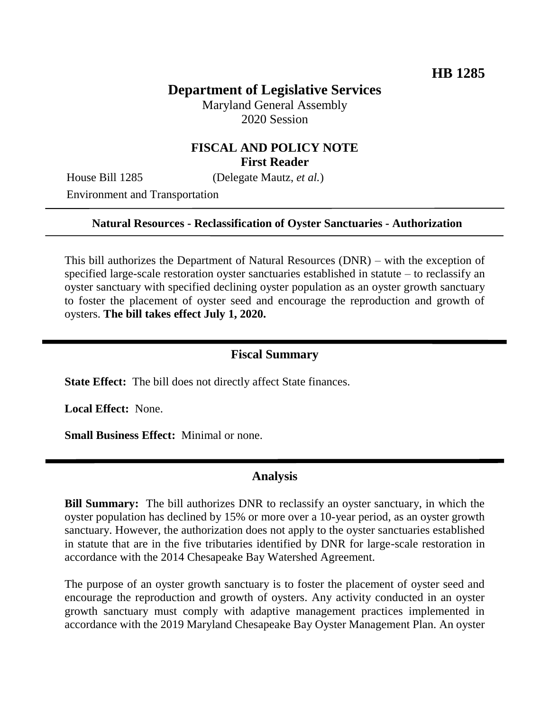# **Department of Legislative Services**

Maryland General Assembly 2020 Session

## **FISCAL AND POLICY NOTE First Reader**

House Bill 1285 (Delegate Mautz, *et al.*)

Environment and Transportation

#### **Natural Resources - Reclassification of Oyster Sanctuaries - Authorization**

This bill authorizes the Department of Natural Resources (DNR) – with the exception of specified large-scale restoration oyster sanctuaries established in statute – to reclassify an oyster sanctuary with specified declining oyster population as an oyster growth sanctuary to foster the placement of oyster seed and encourage the reproduction and growth of oysters. **The bill takes effect July 1, 2020.**

### **Fiscal Summary**

**State Effect:** The bill does not directly affect State finances.

**Local Effect:** None.

**Small Business Effect:** Minimal or none.

#### **Analysis**

**Bill Summary:** The bill authorizes DNR to reclassify an oyster sanctuary, in which the oyster population has declined by 15% or more over a 10-year period, as an oyster growth sanctuary. However, the authorization does not apply to the oyster sanctuaries established in statute that are in the five tributaries identified by DNR for large-scale restoration in accordance with the 2014 Chesapeake Bay Watershed Agreement.

The purpose of an oyster growth sanctuary is to foster the placement of oyster seed and encourage the reproduction and growth of oysters. Any activity conducted in an oyster growth sanctuary must comply with adaptive management practices implemented in accordance with the 2019 Maryland Chesapeake Bay Oyster Management Plan. An oyster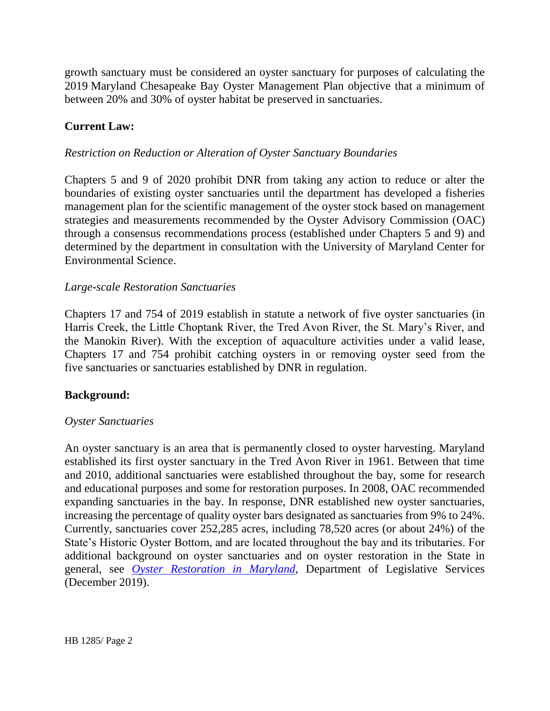growth sanctuary must be considered an oyster sanctuary for purposes of calculating the 2019 Maryland Chesapeake Bay Oyster Management Plan objective that a minimum of between 20% and 30% of oyster habitat be preserved in sanctuaries.

### **Current Law:**

### *Restriction on Reduction or Alteration of Oyster Sanctuary Boundaries*

Chapters 5 and 9 of 2020 prohibit DNR from taking any action to reduce or alter the boundaries of existing oyster sanctuaries until the department has developed a fisheries management plan for the scientific management of the oyster stock based on management strategies and measurements recommended by the Oyster Advisory Commission (OAC) through a consensus recommendations process (established under Chapters 5 and 9) and determined by the department in consultation with the University of Maryland Center for Environmental Science.

#### *Large-scale Restoration Sanctuaries*

Chapters 17 and 754 of 2019 establish in statute a network of five oyster sanctuaries (in Harris Creek, the Little Choptank River, the Tred Avon River, the St. Mary's River, and the Manokin River). With the exception of aquaculture activities under a valid lease, Chapters 17 and 754 prohibit catching oysters in or removing oyster seed from the five sanctuaries or sanctuaries established by DNR in regulation.

#### **Background:**

#### *Oyster Sanctuaries*

An oyster sanctuary is an area that is permanently closed to oyster harvesting. Maryland established its first oyster sanctuary in the Tred Avon River in 1961. Between that time and 2010, additional sanctuaries were established throughout the bay, some for research and educational purposes and some for restoration purposes. In 2008, OAC recommended expanding sanctuaries in the bay. In response, DNR established new oyster sanctuaries, increasing the percentage of quality oyster bars designated as sanctuaries from 9% to 24%. Currently, sanctuaries cover 252,285 acres, including 78,520 acres (or about 24%) of the State's Historic Oyster Bottom, and are located throughout the bay and its tributaries. For additional background on oyster sanctuaries and on oyster restoration in the State in general, see *[Oyster Restoration in Maryland](http://dls.maryland.gov/pubs/prod/NatRes/Oyster-Restoration-in-Maryland.pdf)*, Department of Legislative Services (December 2019).